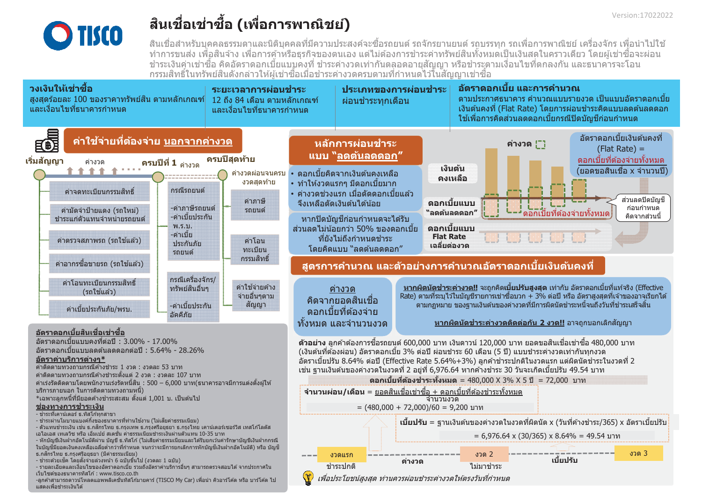

# ้สินเชื่อเช่าชื้อ (เพื่อการพาณิชย์)

ี่สินเชื่อสำหรับบคคลธรรมดาและนิติบุคคลที่มีความประสงค์จะซื้อรถยนต์ รถจักรยานยนต์ รถบรรทุก รถเพื่อการพาณิชย์ เครื่องจักร เพื่อนำไปใช้ ี่ ทำการขนส่ง เพื่อสินจ้าง เพื่อการค้าหรือธุรกิจของตนเอง แต่ไม่ต้องการชำระค่าทรัพย์สินทั้งหมดเป็นเงินสดในคราวเดียว โดยผู้เช่าซื้อจะผ่อน ้ชำระเงินค่าเช่าซื้อ คิดอัตราดอกเบี้ยแบบคงที่ ชำระค่างวดเท่ากันตลอดอายุสัญญา หรือชำระตามเงื่อนไขที่ตกลงกัน และธนาคารจะโอน ้ กรรมสิทธิ์ในทรัพย์สินดังกล่าวให้ผ้เช่าซื้อเมื่อชำระค่างวดครบตามที่กำหนดไว๋ในสัญญาเช่าซื้อ